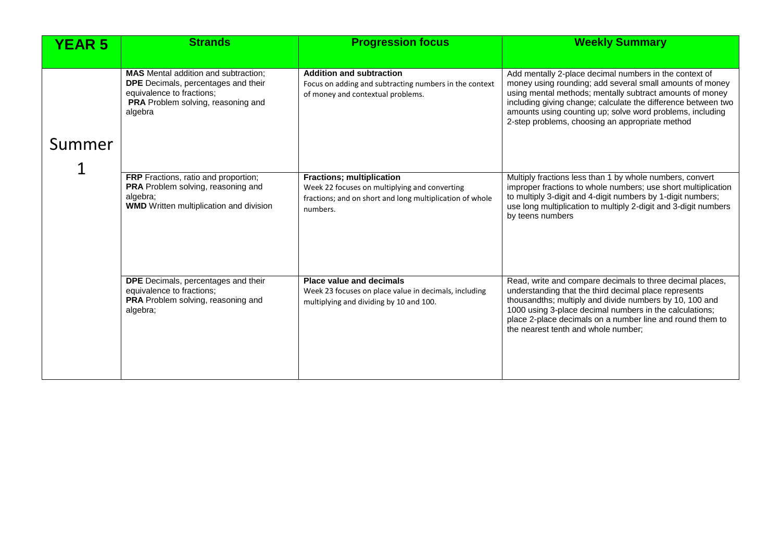| <b>YEAR 5</b> | <b>Strands</b>                                                                                                                                                          | <b>Progression focus</b>                                                                                                                                  | <b>Weekly Summary</b>                                                                                                                                                                                                                                                                                                                                           |
|---------------|-------------------------------------------------------------------------------------------------------------------------------------------------------------------------|-----------------------------------------------------------------------------------------------------------------------------------------------------------|-----------------------------------------------------------------------------------------------------------------------------------------------------------------------------------------------------------------------------------------------------------------------------------------------------------------------------------------------------------------|
|               |                                                                                                                                                                         |                                                                                                                                                           |                                                                                                                                                                                                                                                                                                                                                                 |
| Summer        | <b>MAS</b> Mental addition and subtraction;<br><b>DPE</b> Decimals, percentages and their<br>equivalence to fractions;<br>PRA Problem solving, reasoning and<br>algebra | <b>Addition and subtraction</b><br>Focus on adding and subtracting numbers in the context<br>of money and contextual problems.                            | Add mentally 2-place decimal numbers in the context of<br>money using rounding; add several small amounts of money<br>using mental methods; mentally subtract amounts of money<br>including giving change; calculate the difference between two<br>amounts using counting up; solve word problems, including<br>2-step problems, choosing an appropriate method |
|               | FRP Fractions, ratio and proportion;<br>PRA Problem solving, reasoning and<br>algebra;<br><b>WMD</b> Written multiplication and division                                | <b>Fractions; multiplication</b><br>Week 22 focuses on multiplying and converting<br>fractions; and on short and long multiplication of whole<br>numbers. | Multiply fractions less than 1 by whole numbers, convert<br>improper fractions to whole numbers; use short multiplication<br>to multiply 3-digit and 4-digit numbers by 1-digit numbers;<br>use long multiplication to multiply 2-digit and 3-digit numbers<br>by teens numbers                                                                                 |
|               | DPE Decimals, percentages and their<br>equivalence to fractions;<br>PRA Problem solving, reasoning and<br>algebra;                                                      | <b>Place value and decimals</b><br>Week 23 focuses on place value in decimals, including<br>multiplying and dividing by 10 and 100.                       | Read, write and compare decimals to three decimal places,<br>understanding that the third decimal place represents<br>thousandths; multiply and divide numbers by 10, 100 and<br>1000 using 3-place decimal numbers in the calculations;<br>place 2-place decimals on a number line and round them to<br>the nearest tenth and whole number;                    |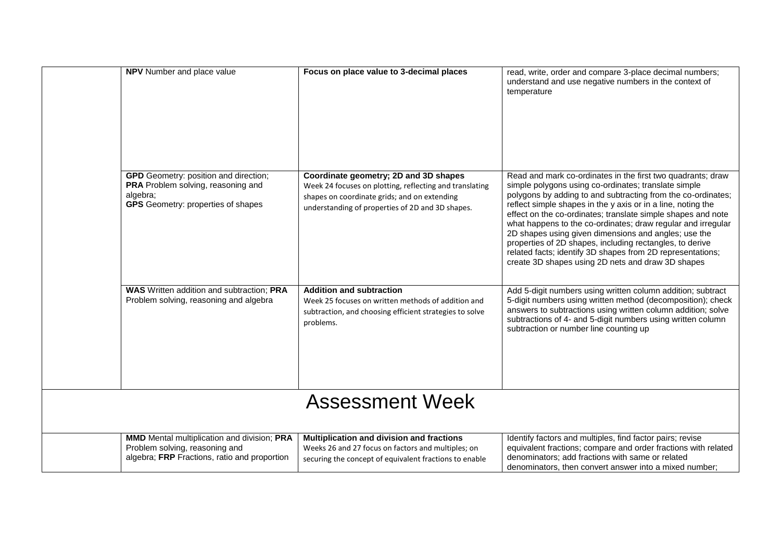|                        | <b>NPV</b> Number and place value                                                                                                           | Focus on place value to 3-decimal places                                                                                                                                                             | read, write, order and compare 3-place decimal numbers;<br>understand and use negative numbers in the context of<br>temperature                                                                                                                                                                                                                                                                                                                                                                                                                                                                                            |  |
|------------------------|---------------------------------------------------------------------------------------------------------------------------------------------|------------------------------------------------------------------------------------------------------------------------------------------------------------------------------------------------------|----------------------------------------------------------------------------------------------------------------------------------------------------------------------------------------------------------------------------------------------------------------------------------------------------------------------------------------------------------------------------------------------------------------------------------------------------------------------------------------------------------------------------------------------------------------------------------------------------------------------------|--|
|                        | <b>GPD</b> Geometry: position and direction;<br>PRA Problem solving, reasoning and<br>algebra;<br><b>GPS</b> Geometry: properties of shapes | Coordinate geometry; 2D and 3D shapes<br>Week 24 focuses on plotting, reflecting and translating<br>shapes on coordinate grids; and on extending<br>understanding of properties of 2D and 3D shapes. | Read and mark co-ordinates in the first two quadrants; draw<br>simple polygons using co-ordinates; translate simple<br>polygons by adding to and subtracting from the co-ordinates;<br>reflect simple shapes in the y axis or in a line, noting the<br>effect on the co-ordinates; translate simple shapes and note<br>what happens to the co-ordinates; draw regular and irregular<br>2D shapes using given dimensions and angles; use the<br>properties of 2D shapes, including rectangles, to derive<br>related facts; identify 3D shapes from 2D representations;<br>create 3D shapes using 2D nets and draw 3D shapes |  |
|                        | <b>WAS</b> Written addition and subtraction; PRA<br>Problem solving, reasoning and algebra                                                  | <b>Addition and subtraction</b><br>Week 25 focuses on written methods of addition and<br>subtraction, and choosing efficient strategies to solve<br>problems.                                        | Add 5-digit numbers using written column addition; subtract<br>5-digit numbers using written method (decomposition); check<br>answers to subtractions using written column addition; solve<br>subtractions of 4- and 5-digit numbers using written column<br>subtraction or number line counting up                                                                                                                                                                                                                                                                                                                        |  |
| <b>Assessment Week</b> |                                                                                                                                             |                                                                                                                                                                                                      |                                                                                                                                                                                                                                                                                                                                                                                                                                                                                                                                                                                                                            |  |
|                        | <b>MMD</b> Mental multiplication and division; PRA<br>Problem solving, reasoning and<br>algebra; FRP Fractions, ratio and proportion        | Multiplication and division and fractions<br>Weeks 26 and 27 focus on factors and multiples; on<br>securing the concept of equivalent fractions to enable                                            | Identify factors and multiples, find factor pairs; revise<br>equivalent fractions; compare and order fractions with related<br>denominators; add fractions with same or related<br>denominators, then convert answer into a mixed number;                                                                                                                                                                                                                                                                                                                                                                                  |  |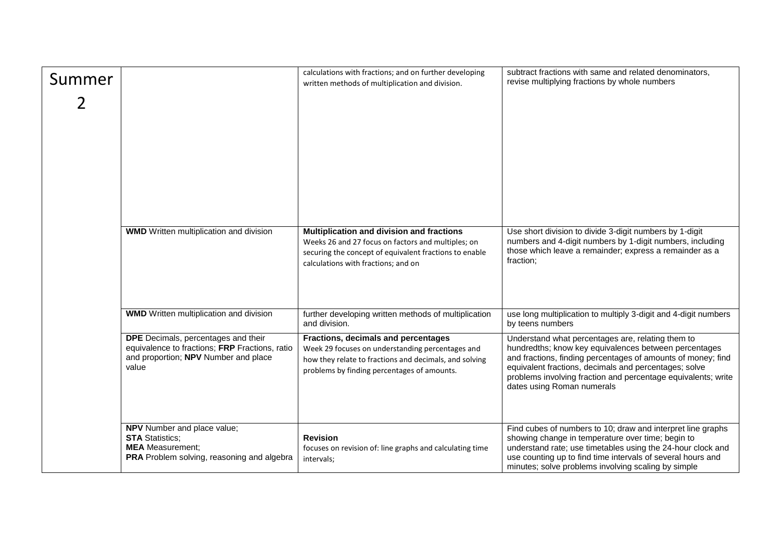| Summer |                                                                                                                                        | calculations with fractions; and on further developing<br>written methods of multiplication and division.                                                                                        | subtract fractions with same and related denominators,<br>revise multiplying fractions by whole numbers                                                                                                                                                                                                                            |
|--------|----------------------------------------------------------------------------------------------------------------------------------------|--------------------------------------------------------------------------------------------------------------------------------------------------------------------------------------------------|------------------------------------------------------------------------------------------------------------------------------------------------------------------------------------------------------------------------------------------------------------------------------------------------------------------------------------|
|        |                                                                                                                                        |                                                                                                                                                                                                  |                                                                                                                                                                                                                                                                                                                                    |
|        | <b>WMD</b> Written multiplication and division                                                                                         | Multiplication and division and fractions<br>Weeks 26 and 27 focus on factors and multiples; on<br>securing the concept of equivalent fractions to enable<br>calculations with fractions; and on | Use short division to divide 3-digit numbers by 1-digit<br>numbers and 4-digit numbers by 1-digit numbers, including<br>those which leave a remainder; express a remainder as a<br>fraction;                                                                                                                                       |
|        | <b>WMD</b> Written multiplication and division                                                                                         | further developing written methods of multiplication<br>and division.                                                                                                                            | use long multiplication to multiply 3-digit and 4-digit numbers<br>by teens numbers                                                                                                                                                                                                                                                |
|        | DPE Decimals, percentages and their<br>equivalence to fractions; FRP Fractions, ratio<br>and proportion; NPV Number and place<br>value | Fractions, decimals and percentages<br>Week 29 focuses on understanding percentages and<br>how they relate to fractions and decimals, and solving<br>problems by finding percentages of amounts. | Understand what percentages are, relating them to<br>hundredths; know key equivalences between percentages<br>and fractions, finding percentages of amounts of money; find<br>equivalent fractions, decimals and percentages; solve<br>problems involving fraction and percentage equivalents; write<br>dates using Roman numerals |
|        | NPV Number and place value;<br><b>STA Statistics;</b><br><b>MEA</b> Measurement;<br>PRA Problem solving, reasoning and algebra         | <b>Revision</b><br>focuses on revision of: line graphs and calculating time<br>intervals;                                                                                                        | Find cubes of numbers to 10; draw and interpret line graphs<br>showing change in temperature over time; begin to<br>understand rate; use timetables using the 24-hour clock and<br>use counting up to find time intervals of several hours and<br>minutes; solve problems involving scaling by simple                              |